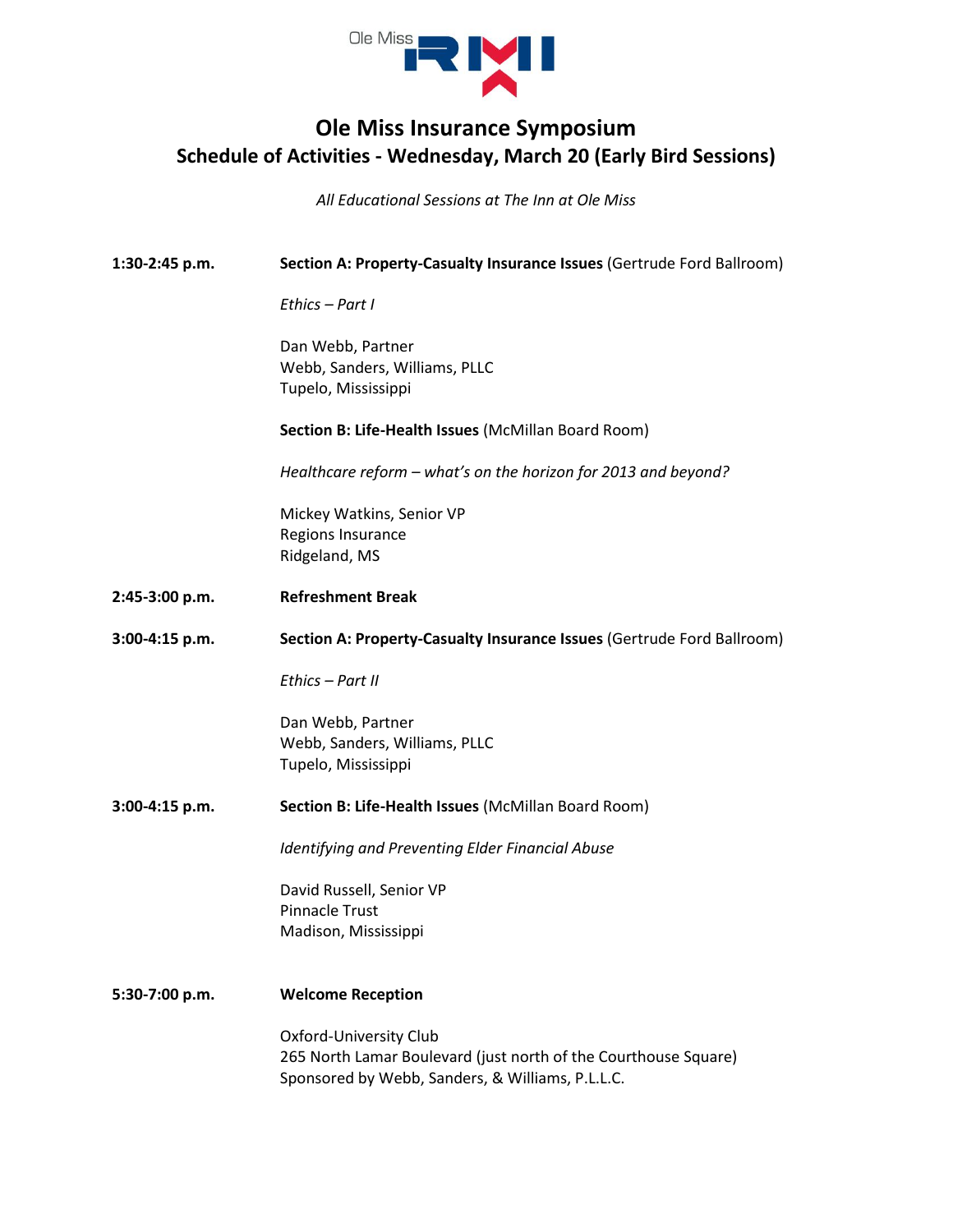

## **Ole Miss Insurance Symposium Schedule of Activities - Wednesday, March 20 (Early Bird Sessions)**

*All Educational Sessions at The Inn at Ole Miss*

| 1:30-2:45 p.m. | Section A: Property-Casualty Insurance Issues (Gertrude Ford Ballroom)                                                                        |
|----------------|-----------------------------------------------------------------------------------------------------------------------------------------------|
|                | Ethics - Part I                                                                                                                               |
|                | Dan Webb, Partner<br>Webb, Sanders, Williams, PLLC<br>Tupelo, Mississippi                                                                     |
|                | Section B: Life-Health Issues (McMillan Board Room)                                                                                           |
|                | Healthcare reform - what's on the horizon for 2013 and beyond?                                                                                |
|                | Mickey Watkins, Senior VP<br>Regions Insurance<br>Ridgeland, MS                                                                               |
| 2:45-3:00 p.m. | <b>Refreshment Break</b>                                                                                                                      |
| 3:00-4:15 p.m. | Section A: Property-Casualty Insurance Issues (Gertrude Ford Ballroom)                                                                        |
|                | Ethics - Part II                                                                                                                              |
|                | Dan Webb, Partner<br>Webb, Sanders, Williams, PLLC<br>Tupelo, Mississippi                                                                     |
| 3:00-4:15 p.m. | Section B: Life-Health Issues (McMillan Board Room)                                                                                           |
|                | Identifying and Preventing Elder Financial Abuse                                                                                              |
|                | David Russell, Senior VP<br><b>Pinnacle Trust</b><br>Madison, Mississippi                                                                     |
| 5:30-7:00 p.m. | <b>Welcome Reception</b>                                                                                                                      |
|                | Oxford-University Club<br>265 North Lamar Boulevard (just north of the Courthouse Square)<br>Sponsored by Webb, Sanders, & Williams, P.L.L.C. |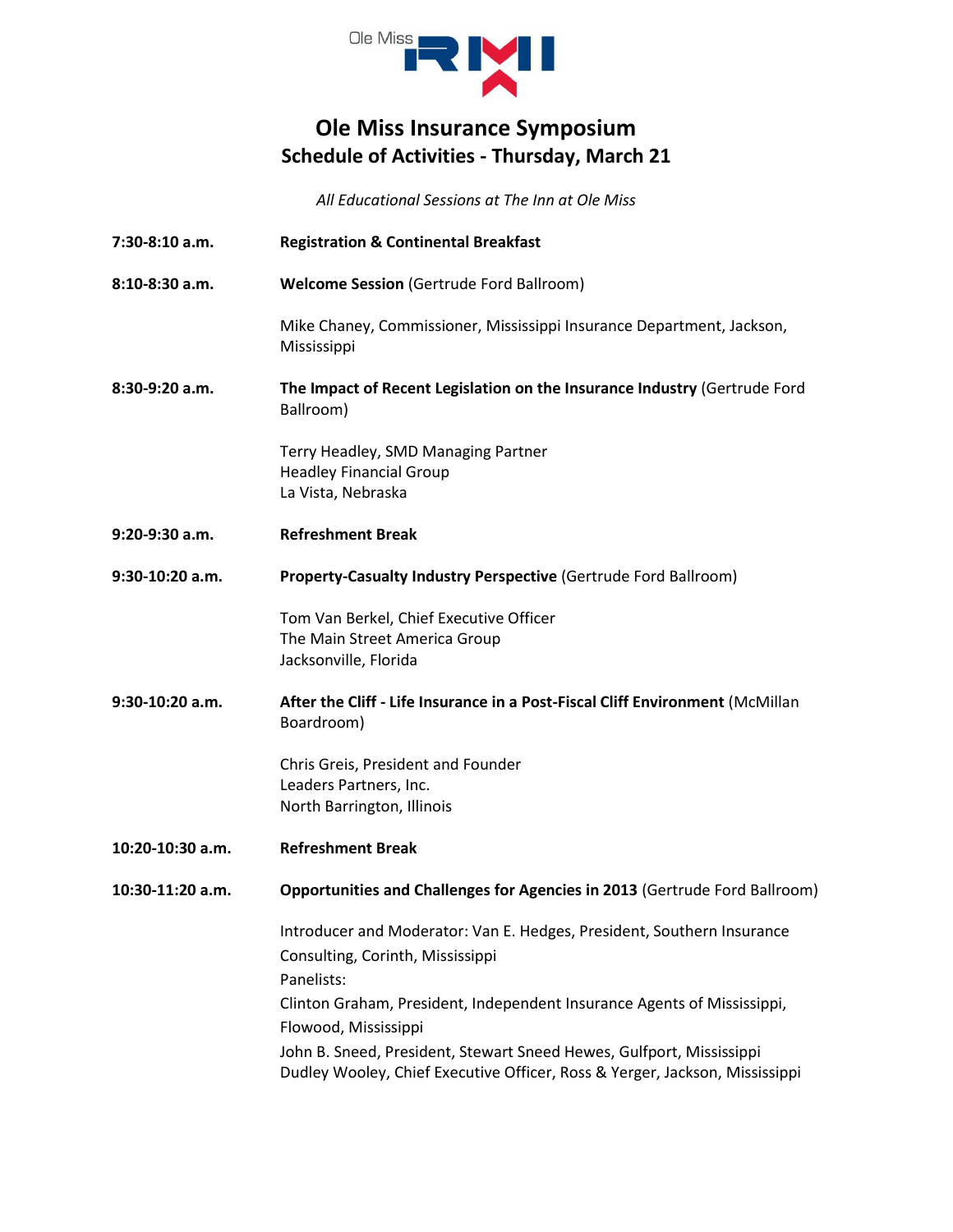

## **Ole Miss Insurance Symposium Schedule of Activities - Thursday, March 21**

*All Educational Sessions at The Inn at Ole Miss*

- **7:30-8:10 a.m. Registration & Continental Breakfast**
- **8:10-8:30 a.m. Welcome Session** (Gertrude Ford Ballroom)

Mike Chaney, Commissioner, Mississippi Insurance Department, Jackson, Mississippi

**8:30-9:20 a.m. The Impact of Recent Legislation on the Insurance Industry** (Gertrude Ford Ballroom)

> Terry Headley, SMD Managing Partner Headley Financial Group La Vista, Nebraska

- **9:20-9:30 a.m. Refreshment Break**
- **9:30-10:20 a.m. Property-Casualty Industry Perspective** (Gertrude Ford Ballroom)

Tom Van Berkel, Chief Executive Officer The Main Street America Group Jacksonville, Florida

**9:30-10:20 a.m. After the Cliff - Life Insurance in a Post-Fiscal Cliff Environment** (McMillan Boardroom)

> Chris Greis, President and Founder Leaders Partners, Inc. North Barrington, Illinois

**10:20-10:30 a.m. Refreshment Break**

**10:30-11:20 a.m. Opportunities and Challenges for Agencies in 2013** (Gertrude Ford Ballroom)

Introducer and Moderator: Van E. Hedges, President, Southern Insurance Consulting, Corinth, Mississippi Panelists: Clinton Graham, President, Independent Insurance Agents of Mississippi, Flowood, Mississippi John B. Sneed, President, Stewart Sneed Hewes, Gulfport, Mississippi Dudley Wooley, Chief Executive Officer, Ross & Yerger, Jackson, Mississippi